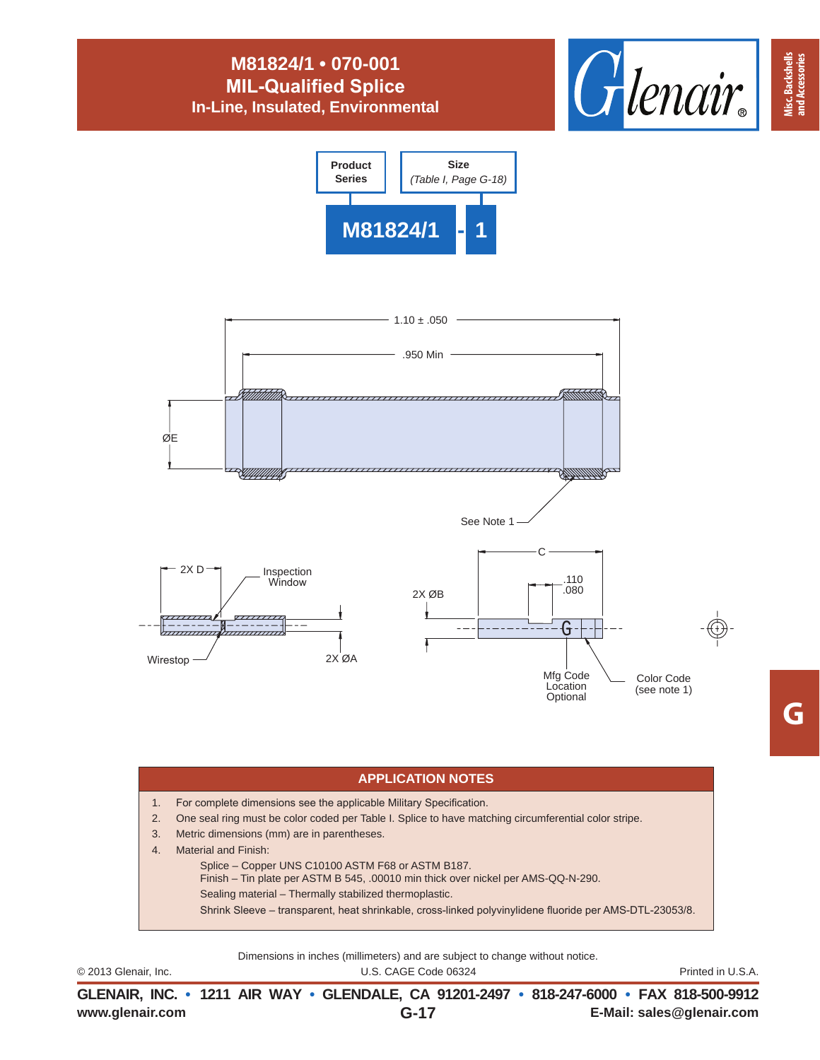# **M81824/1 • 070-001 MIL-Qualified Splice In-Line, Insulated, Environmental**



**Misc. Backshells and Accessories**

**Misc. Backshells**<br>and Accessories





### **APPLICATION NOTES**

- 1. For complete dimensions see the applicable Military Specification.
- 2. One seal ring must be color coded per Table I. Splice to have matching circumferential color stripe.
- 3. Metric dimensions (mm) are in parentheses.
- 4. Material and Finish:
	- Splice Copper UNS C10100 ASTM F68 or ASTM B187.
		- Finish Tin plate per ASTM B 545, .00010 min thick over nickel per AMS-QQ-N-290.
		- Sealing material Thermally stabilized thermoplastic.
		- Shrink Sleeve transparent, heat shrinkable, cross-linked polyvinylidene fluoride per AMS-DTL-23053/8.

Dimensions in inches (millimeters) and are subject to change without notice.

© 2013 Glenair, Inc. U.S. CAGE Code 06324 Printed in U.S.A.

**www.glenair.com E-Mail: sales@glenair.com GLENAIR, INC. • 1211 AIR WAY • GLENDALE, CA 91201-2497 • 818-247-6000 • FAX 818-500-9912 G-17**